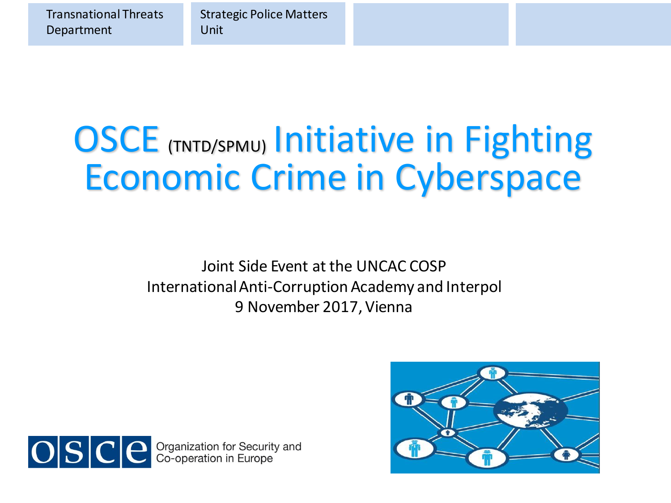Transnational Threats Department

Strategic Police Matters Unit

# **OSCE (TNTD/SPMU) Initiative in Fighting** Economic Crime in Cyberspace



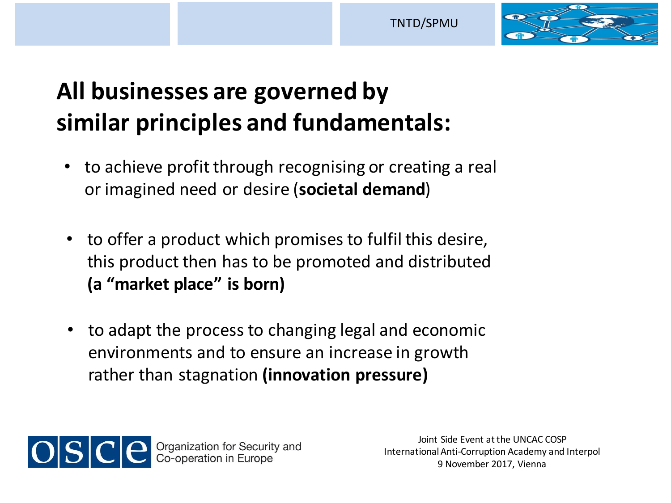TNTD/SPMU



## **All businesses are governed by similar principles and fundamentals:**

- to achieve profit through recognising or creating a real or imagined need or desire (**societal demand**)
- to offer a product which promises to fulfil this desire, this product then has to be promoted and distributed **(a "market place" is born)**
- to adapt the process to changing legal and economic environments and to ensure an increase in growth rather than stagnation **(innovation pressure)**

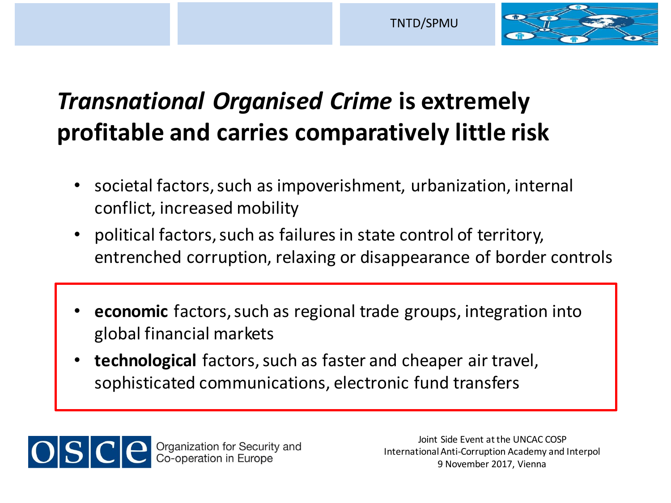

## *Transnational Organised Crime* **is extremely profitable and carries comparatively little risk**

- societal factors, such as impoverishment, urbanization, internal conflict, increased mobility
- political factors, such as failures in state control of territory, entrenched corruption, relaxing or disappearance of border controls
- **economic** factors, such as regional trade groups, integration into global financial markets
- **technological** factors, such as faster and cheaper air travel, sophisticated communications, electronic fund transfers

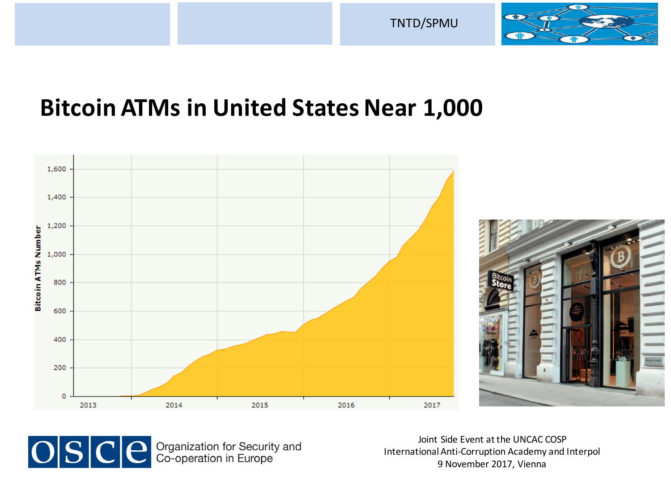



### **Bitcoin ATMs in United States Near 1,000**



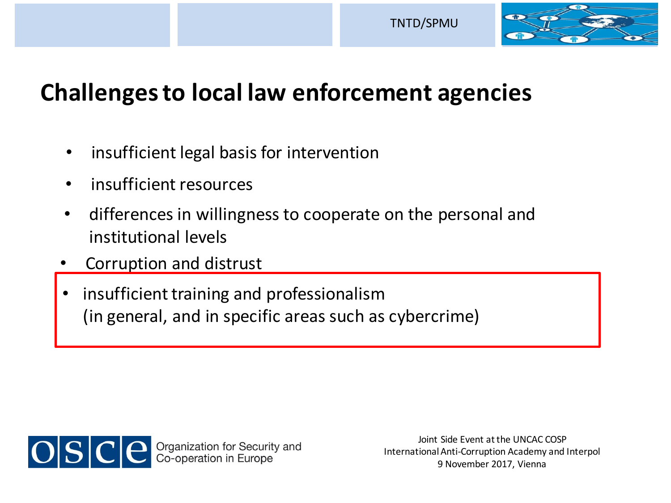

## **Challenges to local law enforcement agencies**

- insufficient legal basis for intervention
- insufficient resources
- differences in willingness to cooperate on the personal and institutional levels
- Corruption and distrust
- insufficient training and professionalism (in general, and in specific areas such as cybercrime)

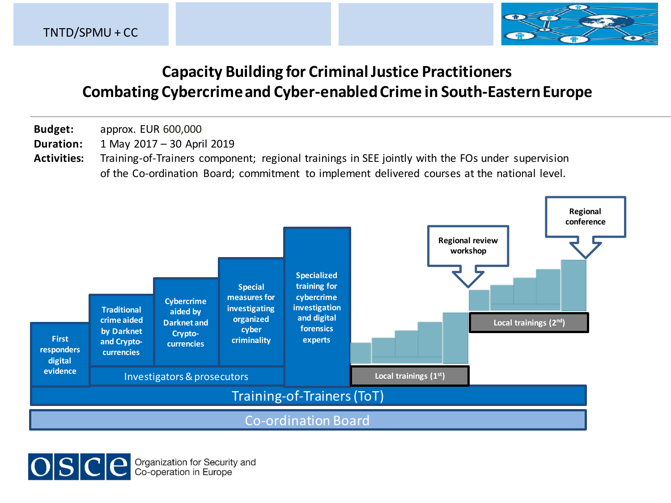

#### **Capacity Building for Criminal Justice Practitioners Combating Cybercrime and Cyber-enabled Crime in South-Eastern Europe**

- **Budget:** approx. EUR 600,000
- **Duration:** 1 May 2017 30 April 2019
- **Activities:** Training-of-Trainers component; regional trainings in SEE jointly with the FOs under supervision of the Co-ordination Board; commitment to implement delivered courses at the national level.



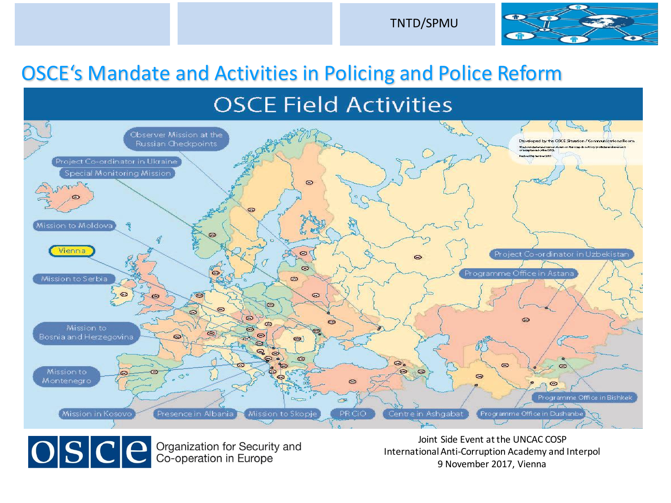

#### OSCE's Mandate and Activities in Policing and Police Reform

#### **OSCE Field Activities**



OSCE Crganization for Security and